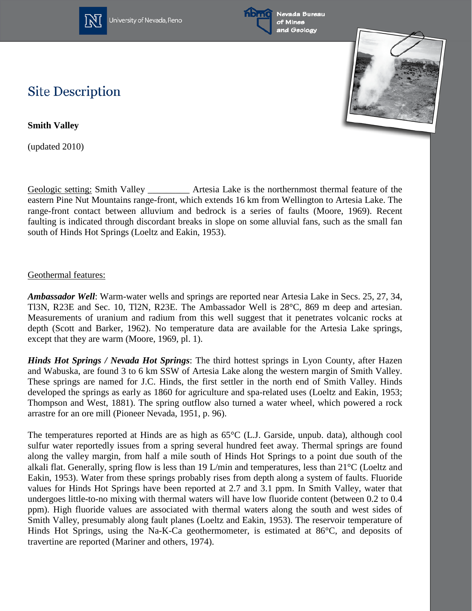

University of Nevada, Reno





## **Site Description**

**Smith Valley**

(updated 2010)

Geologic setting: Smith Valley \_\_\_\_\_\_\_\_\_ Artesia Lake is the northernmost thermal feature of the eastern Pine Nut Mountains range-front, which extends 16 km from Wellington to Artesia Lake. The range-front contact between alluvium and bedrock is a series of faults (Moore, 1969). Recent faulting is indicated through discordant breaks in slope on some alluvial fans, such as the small fan south of Hinds Hot Springs (Loeltz and Eakin, 1953).

## Geothermal features:

*Ambassador Well*: Warm-water wells and springs are reported near Artesia Lake in Secs. 25, 27, 34, Tl3N, R23E and Sec. 10, Tl2N, R23E. The Ambassador Well is 28°C, 869 m deep and artesian. Measurements of uranium and radium from this well suggest that it penetrates volcanic rocks at depth (Scott and Barker, 1962). No temperature data are available for the Artesia Lake springs, except that they are warm (Moore, 1969, pl. 1).

*Hinds Hot Springs / Nevada Hot Springs*: The third hottest springs in Lyon County, after Hazen and Wabuska, are found 3 to 6 km SSW of Artesia Lake along the western margin of Smith Valley. These springs are named for J.C. Hinds, the first settler in the north end of Smith Valley. Hinds developed the springs as early as 1860 for agriculture and spa-related uses (Loeltz and Eakin, 1953; Thompson and West, 1881). The spring outflow also turned a water wheel, which powered a rock arrastre for an ore mill (Pioneer Nevada, 1951, p. 96).

The temperatures reported at Hinds are as high as 65°C (L.J. Garside, unpub. data), although cool sulfur water reportedly issues from a spring several hundred feet away. Thermal springs are found along the valley margin, from half a mile south of Hinds Hot Springs to a point due south of the alkali flat. Generally, spring flow is less than 19 L/min and temperatures, less than 21°C (Loeltz and Eakin, 1953). Water from these springs probably rises from depth along a system of faults. Fluoride values for Hinds Hot Springs have been reported at 2.7 and 3.1 ppm. In Smith Valley, water that undergoes little-to-no mixing with thermal waters will have low fluoride content (between 0.2 to 0.4 ppm). High fluoride values are associated with thermal waters along the south and west sides of Smith Valley, presumably along fault planes (Loeltz and Eakin, 1953). The reservoir temperature of Hinds Hot Springs, using the Na-K-Ca geothermometer, is estimated at 86°C, and deposits of travertine are reported (Mariner and others, 1974).